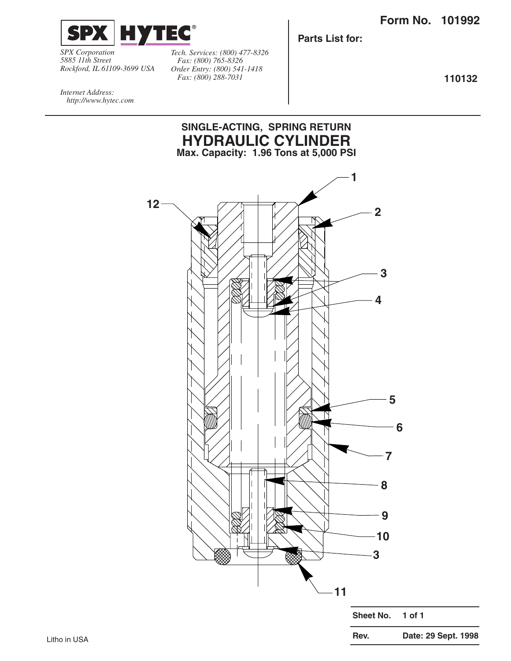

*SPX Corporation 5885 11th Street Rockford, IL 61109-3699 USA*

*Tech. Services: (800) 477-8326 Fax: (800) 765-8326 Order Entry: (800) 541-1418 Fax: (800) 288-7031*

**Parts List for:**

**110132**

*Internet Address: http://www.hytec.com*